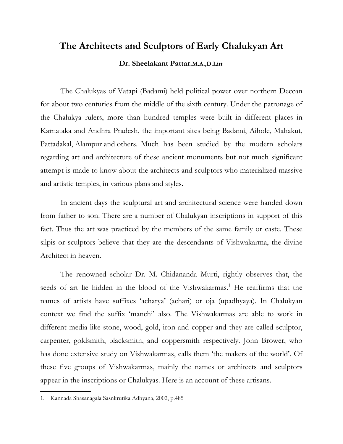# **The Architects and Sculptors of Early Chalukyan Art**

## **Dr. Sheelakant Pattar.M.A.,D.Litt.**

 The Chalukyas of Vatapi (Badami) held political power over northern Deccan for about two centuries from the middle of the sixth century. Under the patronage of the Chalukya rulers, more than hundred temples were built in different places in Karnataka and Andhra Pradesh, the important sites being Badami, Aihole, Mahakut, Pattadakal, Alampur and others. Much has been studied by the modern scholars regarding art and architecture of these ancient monuments but not much significant attempt is made to know about the architects and sculptors who materialized massive and artistic temples, in various plans and styles.

 In ancient days the sculptural art and architectural science were handed down from father to son. There are a number of Chalukyan inscriptions in support of this fact. Thus the art was practiced by the members of the same family or caste. These silpis or sculptors believe that they are the descendants of Vishwakarma, the divine Architect in heaven.

 The renowned scholar Dr. M. Chidananda Murti, rightly observes that, the seeds of art lie hidden in the blood of the Vishwakarmas.<sup>1</sup> He reaffirms that the names of artists have suffixes 'acharya' (achari) or oja (upadhyaya). In Chalukyan context we find the suffix 'manchi' also. The Vishwakarmas are able to work in different media like stone, wood, gold, iron and copper and they are called sculptor, carpenter, goldsmith, blacksmith, and coppersmith respectively. John Brower, who has done extensive study on Vishwakarmas, calls them 'the makers of the world'. Of these five groups of Vishwakarmas, mainly the names or architects and sculptors appear in the inscriptions or Chalukyas. Here is an account of these artisans.

<sup>1.</sup> Kannada Shasanagala Sasnkrutika Adhyana, 2002, p.485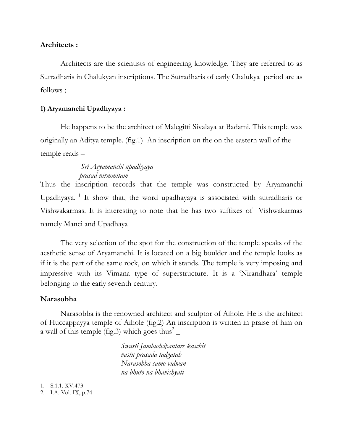## **Architects :**

 Architects are the scientists of engineering knowledge. They are referred to as Sutradharis in Chalukyan inscriptions. The Sutradharis of early Chalukya period are as follows ;

## **1) Aryamanchi Upadhyaya :**

He happens to be the architect of Malegitti Sivalaya at Badami. This temple was originally an Aditya temple. (fig.1) An inscription on the on the eastern wall of the temple reads –

## *Sri Aryamanchi upadhyaya prasad nirmmitam*

Thus the inscription records that the temple was constructed by Aryamanchi Upadhyaya.<sup>1</sup> It show that, the word upadhayaya is associated with sutradharis or Vishwakarmas. It is interesting to note that he has two suffixes of Vishwakarmas namely Manci and Upadhaya

 The very selection of the spot for the construction of the temple speaks of the aesthetic sense of Aryamanchi. It is located on a big boulder and the temple looks as if it is the part of the same rock, on which it stands. The temple is very imposing and impressive with its Vimana type of superstructure. It is a 'Nirandhara' temple belonging to the early seventh century.

#### **Narasobha**

 Narasobba is the renowned architect and sculptor of Aihole. He is the architect of Huccappayya temple of Aihole (fig.2) An inscription is written in praise of him on a wall of this temple (fig.3) which goes thus<sup>2</sup>  $\overline{\phantom{a}}$ 

> *Swasti Jambudvipantare kaschit vastu prasada tadgatah Narasobba samo vidwan na bhuto na bhavishyati*

1. S.1.1. XV.473

<sup>2.</sup> I.A. Vol. IX, p.74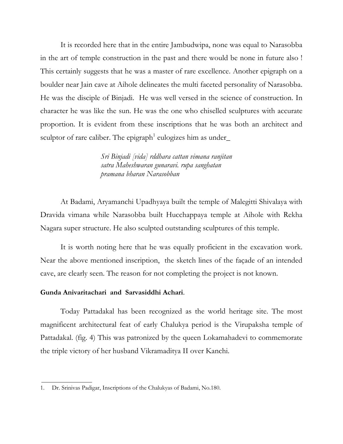It is recorded here that in the entire Jambudwipa, none was equal to Narasobba in the art of temple construction in the past and there would be none in future also ! This certainly suggests that he was a master of rare excellence. Another epigraph on a boulder near Jain cave at Aihole delineates the multi faceted personality of Narasobba. He was the disciple of Binjadi. He was well versed in the science of construction. In character he was like the sun. He was the one who chiselled sculptures with accurate proportion. It is evident from these inscriptions that he was both an architect and sculptor of rare caliber. The epigraph<sup>1</sup> eulogizes him as under

> *Sri Binjadi [vida] rddhara cattan vimana ranjitan satra Maheshwaran gunaravi. rupa sanghatan pramana bharan Narasobban*

At Badami, Aryamanchi Upadhyaya built the temple of Malegitti Shivalaya with Dravida vimana while Narasobba built Hucchappaya temple at Aihole with Rekha Nagara super structure. He also sculpted outstanding sculptures of this temple.

 It is worth noting here that he was equally proficient in the excavation work. Near the above mentioned inscription, the sketch lines of the façade of an intended cave, are clearly seen. The reason for not completing the project is not known.

#### **Gunda Anivaritachari and Sarvasiddhi Achari**.

 Today Pattadakal has been recognized as the world heritage site. The most magnificent architectural feat of early Chalukya period is the Virupaksha temple of Pattadakal. (fig. 4) This was patronized by the queen Lokamahadevi to commemorate the triple victory of her husband Vikramaditya II over Kanchi.

<sup>1.</sup> Dr. Srinivas Padigar, Inscriptions of the Chalukyas of Badami, No.180.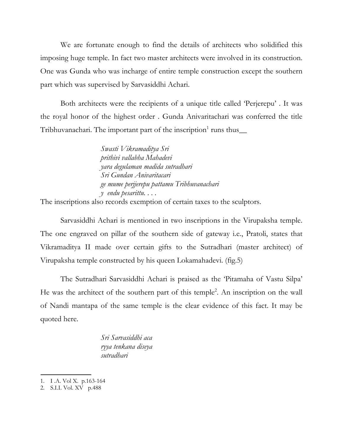We are fortunate enough to find the details of architects who solidified this imposing huge temple. In fact two master architects were involved in its construction. One was Gunda who was incharge of entire temple construction except the southern part which was supervised by Sarvasiddhi Achari.

Both architects were the recipients of a unique title called 'Perjerepu' . It was the royal honor of the highest order . Gunda Anivaritachari was conferred the title Tribhuvanachari. The important part of the inscription<sup>1</sup> runs thus $\_\_$ 

> *Swasti Vikramaditya Sri prithivi vallabha Mahadevi yara degulaman madida sutradhari Sri Gundan Anivaritacari ge mume perjjerepu pattamu Tribhuvanachari y endu pesarittu. . . .*

The inscriptions also records exemption of certain taxes to the sculptors.

 Sarvasiddhi Achari is mentioned in two inscriptions in the Virupaksha temple. The one engraved on pillar of the southern side of gateway i.e., Pratoli, states that Vikramaditya II made over certain gifts to the Sutradhari (master architect) of Virupaksha temple constructed by his queen Lokamahadevi. (fig.5)

 The Sutradhari Sarvasiddhi Achari is praised as the 'Pitamaha of Vastu Silpa' He was the architect of the southern part of this temple<sup>2</sup>. An inscription on the wall of Nandi mantapa of the same temple is the clear evidence of this fact. It may be quoted here.

> *Sri Sarvasiddhi aca ryya tenkana diseya sutradhari*

<sup>1.</sup> I .A. Vol X. p.163-164

<sup>2.</sup> S.I.I. Vol. XV p.488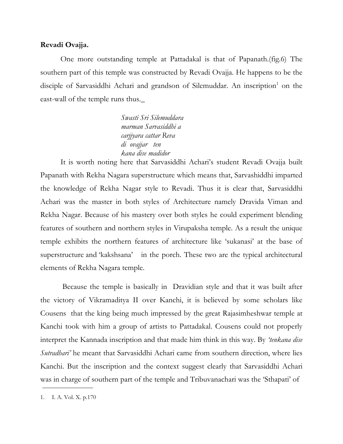#### **Revadi Ovajja.**

 One more outstanding temple at Pattadakal is that of Papanath.(fig.6) The southern part of this temple was constructed by Revadi Ovajja. He happens to be the disciple of Sarvasiddhi Achari and grandson of Silemuddar. An inscription<sup>1</sup> on the east-wall of the temple runs thus.\_

> *Swasti Sri Silemuddara marman Sarvasiddhi a carjjyara cattar Reva di ovajjar ten kana dise madidor*

 It is worth noting here that Sarvasiddhi Achari's student Revadi Ovajja built Papanath with Rekha Nagara superstructure which means that, Sarvashiddhi imparted the knowledge of Rekha Nagar style to Revadi. Thus it is clear that, Sarvasiddhi Achari was the master in both styles of Architecture namely Dravida Viman and Rekha Nagar. Because of his mastery over both styles he could experiment blending features of southern and northern styles in Virupaksha temple. As a result the unique temple exhibits the northern features of architecture like 'sukanasi' at the base of superstructure and 'kakshsana' in the porch. These two are the typical architectural elements of Rekha Nagara temple.

 Because the temple is basically in Dravidian style and that it was built after the victory of Vikramaditya II over Kanchi, it is believed by some scholars like Cousens that the king being much impressed by the great Rajasimheshwar temple at Kanchi took with him a group of artists to Pattadakal. Cousens could not properly interpret the Kannada inscription and that made him think in this way. By *'tenkana dise Sutradhari'* he meant that Sarvasiddhi Achari came from southern direction, where lies Kanchi. But the inscription and the context suggest clearly that Sarvasiddhi Achari was in charge of southern part of the temple and Tribuvanachari was the 'Sthapati' of

<sup>1.</sup> I. A. Vol. X. p.170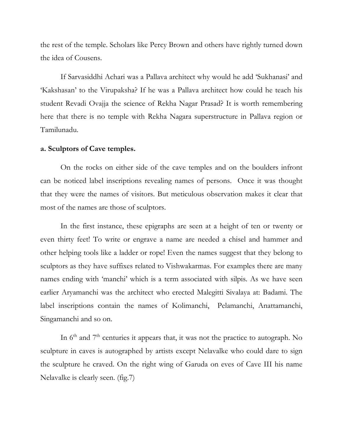the rest of the temple. Scholars like Percy Brown and others have rightly turned down the idea of Cousens.

 If Sarvasiddhi Achari was a Pallava architect why would he add 'Sukhanasi' and 'Kakshasan' to the Virupaksha? If he was a Pallava architect how could he teach his student Revadi Ovajja the science of Rekha Nagar Prasad? It is worth remembering here that there is no temple with Rekha Nagara superstructure in Pallava region or Tamilunadu.

#### **a. Sculptors of Cave temples.**

 On the rocks on either side of the cave temples and on the boulders infront can be noticed label inscriptions revealing names of persons. Once it was thought that they were the names of visitors. But meticulous observation makes it clear that most of the names are those of sculptors.

 In the first instance, these epigraphs are seen at a height of ten or twenty or even thirty feet! To write or engrave a name are needed a chisel and hammer and other helping tools like a ladder or rope! Even the names suggest that they belong to sculptors as they have suffixes related to Vishwakarmas. For examples there are many names ending with 'manchi' which is a term associated with silpis. As we have seen earlier Aryamanchi was the architect who erected Malegitti Sivalaya at: Badami. The label inscriptions contain the names of Kolimanchi, Pelamanchi, Anattamanchi, Singamanchi and so on.

In  $6<sup>th</sup>$  and  $7<sup>th</sup>$  centuries it appears that, it was not the practice to autograph. No sculpture in caves is autographed by artists except Nelavalke who could dare to sign the sculpture he craved. On the right wing of Garuda on eves of Cave III his name Nelavalke is clearly seen. (fig.7)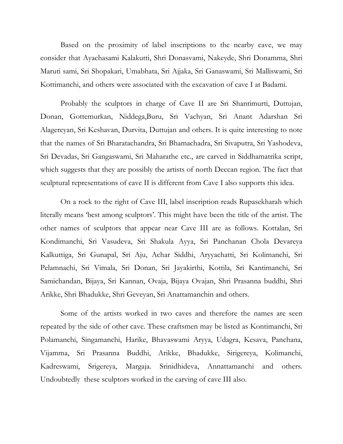Based on the proximity of label inscriptions to the nearby cave, we may consider that Ayachasami Kalakutti, Shri Donasvami, Nakeyde, Shri Donamma, Shri Maruti sami, Sri Shopakari, Umabhata, Sri Ajjaka, Sri Ganaswami, Sri Malliswami, Sri Kottimanchi, and others were associated with the excavation of cave I at Badami.

 Probably the sculptors in charge of Cave II are Sri Shantimurti, Duttujan, Donan, Gottemurkan, Niddega,Buru, Sri Vachyan, Sri Anant Adarshan Sri Alagereyan, Sri Keshavan, Durvita, Duttujan and others. It is quite interesting to note that the names of Sri Bharatachandra, Sri Bhamachadra, Sri Sivaputra, Sri Yashodeva, Sri Devadas, Sri Gangaswami, Sri Maharathe etc., are carved in Siddhamatrika script, which suggests that they are possibly the artists of north Deccan region. The fact that sculptural representations of cave II is different from Cave I also supports this idea.

On a rock to the right of Cave III, label inscription reads Rupasekharah which literally means 'best among sculptors'. This might have been the title of the artist. The other names of sculptors that appear near Cave III are as follows. Kottalan, Sri Kondimanchi, Sri Vasudeva, Sri Shakula Ayya, Sri Panchanan Chola Devareya Kalkuttiga, Sri Gunapal, Sri Aju, Achar Siddhi, Aryyachatti, Sri Kolimanchi, Sri Pelamnachi, Sri Vimala, Sri Donan, Sri Jayakirthi, Kottila, Sri Kantimanchi, Sri Samichandan, Bijaya, Sri Kannan, Ovaja, Bijaya Ovajan, Shri Prasanna buddhi, Shri Arikke, Shri Bhadukke, Shri Geveyan, Sri Anattamanchin and others.

 Some of the artists worked in two caves and therefore the names are seen repeated by the side of other cave. These craftsmen may be listed as Kontimanchi, Sri Polamanchi, Singamanchi, Harike, Bhavaswami Aryya, Udagra, Kesava, Panchana, Vijamma, Sri Prasanna Buddhi, Arikke, Bhadukke, Sirigereya, Kolimanchi, Kadreswami, Srigereya, Margaja. Srinidhideva, Annattamanchi and others. Undoubtedly these sculptors worked in the carving of cave III also.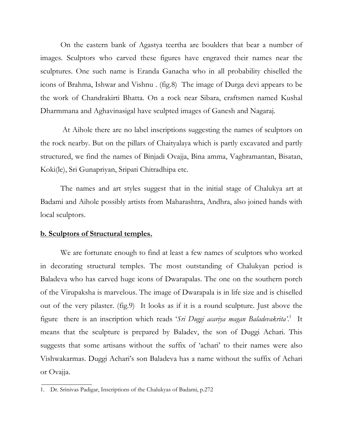On the eastern bank of Agastya teertha are boulders that bear a number of images. Sculptors who carved these figures have engraved their names near the sculptures. One such name is Eranda Ganacha who in all probability chiselled the icons of Brahma, Ishwar and Vishnu . (fig.8) The image of Durga devi appears to be the work of Chandrakirti Bhatta. On a rock near Sibara, craftsmen named Kushal Dharmmana and Aghavinasigal have sculpted images of Ganesh and Nagaraj.

 At Aihole there are no label inscriptions suggesting the names of sculptors on the rock nearby. But on the pillars of Chaityalaya which is partly excavated and partly structured, we find the names of Binjadi Ovajja, Bina amma, Vaghramantan, Bisatan, Koki(le), Sri Gunapriyan, Sripati Chitradhipa etc.

 The names and art styles suggest that in the initial stage of Chalukya art at Badami and Aihole possibly artists from Maharashtra, Andhra, also joined hands with local sculptors.

#### **b. Sculptors of Structural temples.**

 We are fortunate enough to find at least a few names of sculptors who worked in decorating structural temples. The most outstanding of Chalukyan period is Baladeva who has carved huge icons of Dwarapalas. The one on the southern porch of the Virupaksha is marvelous. The image of Dwarapala is in life size and is chiselled out of the very pilaster. (fig.9) It looks as if it is a round sculpture. Just above the figure there is an inscription which reads 'Sri Duggi acariya magan Baladevakrita'.<sup>1</sup> It means that the sculpture is prepared by Baladev, the son of Duggi Achari. This suggests that some artisans without the suffix of 'achari' to their names were also Vishwakarmas. Duggi Achari's son Baladeva has a name without the suffix of Achari or Ovajja.

<sup>1.</sup> Dr. Srinivas Padigar, Inscriptions of the Chalukyas of Badami, p.272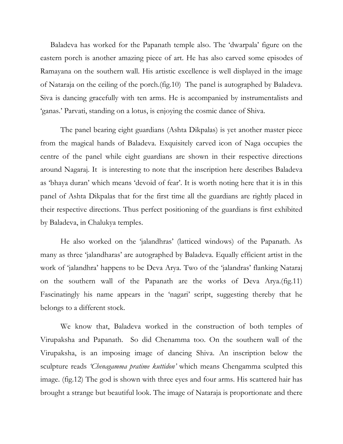Baladeva has worked for the Papanath temple also. The 'dwarpala' figure on the eastern porch is another amazing piece of art. He has also carved some episodes of Ramayana on the southern wall. His artistic excellence is well displayed in the image of Nataraja on the ceiling of the porch.(fig.10) The panel is autographed by Baladeva. Siva is dancing gracefully with ten arms. He is accompanied by instrumentalists and 'ganas.' Parvati, standing on a lotus, is enjoying the cosmic dance of Shiva.

 The panel bearing eight guardians (Ashta Dikpalas) is yet another master piece from the magical hands of Baladeva. Exquisitely carved icon of Naga occupies the centre of the panel while eight guardians are shown in their respective directions around Nagaraj. It is interesting to note that the inscription here describes Baladeva as 'bhaya duran' which means 'devoid of fear'. It is worth noting here that it is in this panel of Ashta Dikpalas that for the first time all the guardians are rightly placed in their respective directions. Thus perfect positioning of the guardians is first exhibited by Baladeva, in Chalukya temples.

 He also worked on the 'jalandhras' (latticed windows) of the Papanath. As many as three 'jalandharas' are autographed by Baladeva. Equally efficient artist in the work of 'jalandhra' happens to be Deva Arya. Two of the 'jalandras' flanking Nataraj on the southern wall of the Papanath are the works of Deva Arya.(fig.11) Fascinatingly his name appears in the 'nagari' script, suggesting thereby that he belongs to a different stock.

 We know that, Baladeva worked in the construction of both temples of Virupaksha and Papanath. So did Chenamma too. On the southern wall of the Virupaksha, is an imposing image of dancing Shiva. An inscription below the sculpture reads *'Chenagamma pratime kuttidon'* which means Chengamma sculpted this image. (fig.12) The god is shown with three eyes and four arms. His scattered hair has brought a strange but beautiful look. The image of Nataraja is proportionate and there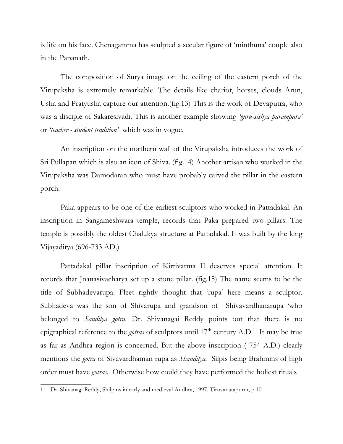is life on his face. Chenagamma has sculpted a secular figure of 'minthuna' couple also in the Papanath.

 The composition of Surya image on the ceiling of the eastern porch of the Virupaksha is extremely remarkable. The details like chariot, horses, clouds Arun, Usha and Pratyusha capture our attention.(fig.13) This is the work of Devaputra, who was a disciple of Sakaresivadi. This is another example showing *'guru-sishya parampara'*  or *'teacher - student tradition'* which was in vogue.

 An inscription on the northern wall of the Virupaksha introduces the work of Sri Pullapan which is also an icon of Shiva. (fig.14) Another artisan who worked in the Virupaksha was Damodaran who must have probably carved the pillar in the eastern porch.

 Paka appears to be one of the earliest sculptors who worked in Pattadakal. An inscription in Sangameshwara temple, records that Paka prepared two pillars. The temple is possibly the oldest Chalukya structure at Pattadakal. It was built by the king Vijayaditya (696-733 AD.)

 Pattadakal pillar inscription of Kirtivarma II deserves special attention. It records that Jnanasivacharya set up a stone pillar. (fig.15) The name seems to be the title of Subhadevarupa. Fleet rightly thought that 'rupa' here means a sculptor. Subhadeva was the son of Shivarupa and grandson of Shivavardhanarupa 'who belonged to *Sandilya gotra.* Dr. Shivanagai Reddy points out that there is no epigraphical reference to the *gotras* of sculptors until 17<sup>th</sup> century A.D.<sup>1</sup> It may be true as far as Andhra region is concerned. But the above inscription ( 754 A.D.) clearly mentions the *gotra* of Sivavardhaman rupa as *Shandilya.* Silpis being Brahmins of high order must have *gotras.* Otherwise how could they have performed the holiest rituals

<sup>1.</sup> Dr. Shivanagi Reddy, Shilpins in early and medieval Andhra, 1997. Tiruvanatapurm, p.10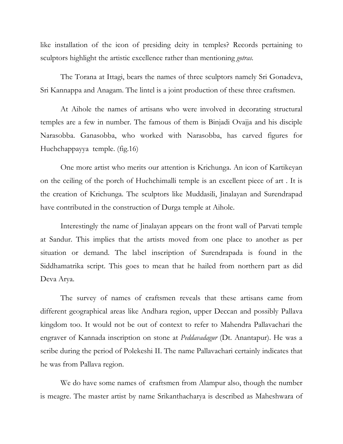like installation of the icon of presiding deity in temples? Records pertaining to sculptors highlight the artistic excellence rather than mentioning *gotras.*

 The Torana at Ittagi, bears the names of three sculptors namely Sri Gonadeva, Sri Kannappa and Anagam. The lintel is a joint production of these three craftsmen.

At Aihole the names of artisans who were involved in decorating structural temples are a few in number. The famous of them is Binjadi Ovajja and his disciple Narasobba. Ganasobba, who worked with Narasobba, has carved figures for Huchchappayya temple. (fig.16)

 One more artist who merits our attention is Krichunga. An icon of Kartikeyan on the ceiling of the porch of Huchchimalli temple is an excellent piece of art . It is the creation of Krichunga. The sculptors like Muddasili, Jinalayan and Surendrapad have contributed in the construction of Durga temple at Aihole.

 Interestingly the name of Jinalayan appears on the front wall of Parvati temple at Sandur. This implies that the artists moved from one place to another as per situation or demand. The label inscription of Surendrapada is found in the Siddhamatrika script. This goes to mean that he hailed from northern part as did Deva Arya.

 The survey of names of craftsmen reveals that these artisans came from different geographical areas like Andhara region, upper Deccan and possibly Pallava kingdom too. It would not be out of context to refer to Mahendra Pallavachari the engraver of Kannada inscription on stone at *Peddavadagur* (Dt. Anantapur). He was a scribe during the period of Polekeshi II. The name Pallavachari certainly indicates that he was from Pallava region.

 We do have some names of craftsmen from Alampur also, though the number is meagre. The master artist by name Srikanthacharya is described as Maheshwara of